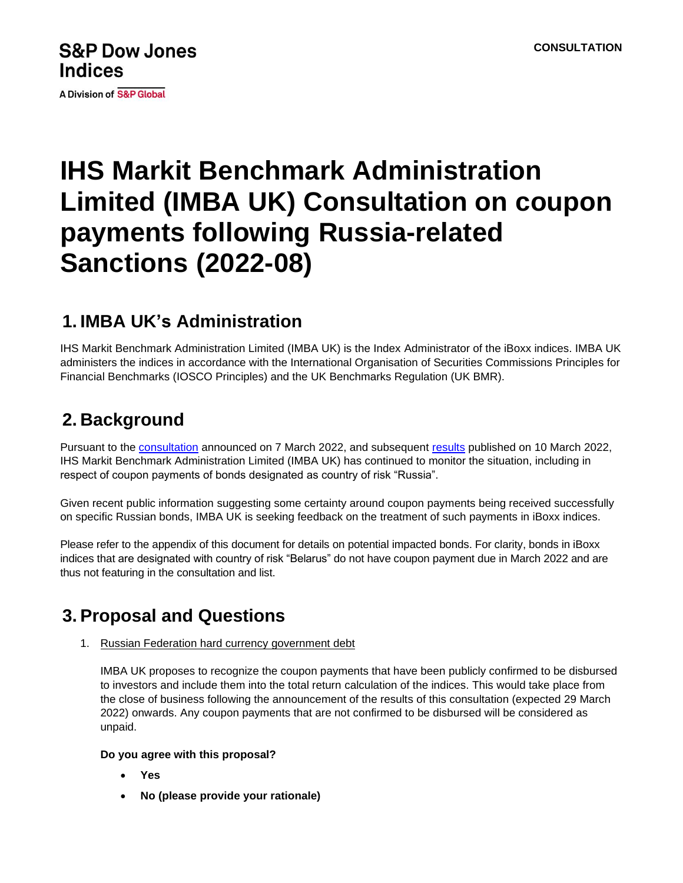## **S&P Dow Jones Indices**

**A Division of S&P Global** 

# **IHS Markit Benchmark Administration Limited (IMBA UK) Consultation on coupon payments following Russia-related Sanctions (2022-08)**

### **1. IMBA UK's Administration**

IHS Markit Benchmark Administration Limited (IMBA UK) is the Index Administrator of the iBoxx indices. IMBA UK administers the indices in accordance with the International Organisation of Securities Commissions Principles for Financial Benchmarks (IOSCO Principles) and the UK Benchmarks Regulation (UK BMR).

## **2. Background**

Pursuant to the [consultation](https://nam04.safelinks.protection.outlook.com/?url=http%3A%2F%2Fwww.markit.com%2FNewsInformation%2FGetLinkedNews%2F832022IHS-Markit-Benchmark-Administration-Limited-IMBA-UK-Consultation-on-Russia-related-Sanctions-and-Market-Accessibility-2022-05-%3FProduct%3DIBoxx&data=04%7C01%7CSmadar.Shulman%40ihsmarkit.com%7Cd4d389d4f7eb438ea07308da0d84e001%7Cc1156c2fa3bb4fc4ac073eab96da8d10%7C0%7C0%7C637837161590934440%7CUnknown%7CTWFpbGZsb3d8eyJWIjoiMC4wLjAwMDAiLCJQIjoiV2luMzIiLCJBTiI6Ik1haWwiLCJXVCI6Mn0%3D%7C3000&sdata=k0NmtB6ZGsGnH4jrjub02b9XJ2gTMsyo3ziL9Kajxho%3D&reserved=0) announced on 7 March 2022, and subsequent [results](https://nam04.safelinks.protection.outlook.com/?url=https%3A%2F%2Fwww.markit.com%2FNewsInformation%2FGetLinkedNews%2F1032022Results-IHS-Markit-Benchmark-Administration-Limited-IMBA-UK-Consultation-on-Russia-related-Sanctions-and-Market-Accessibility-2022-05-%3FProduct%3DIBoxx&data=04%7C01%7CSmadar.Shulman%40ihsmarkit.com%7Cd4d389d4f7eb438ea07308da0d84e001%7Cc1156c2fa3bb4fc4ac073eab96da8d10%7C0%7C0%7C637837161590934440%7CUnknown%7CTWFpbGZsb3d8eyJWIjoiMC4wLjAwMDAiLCJQIjoiV2luMzIiLCJBTiI6Ik1haWwiLCJXVCI6Mn0%3D%7C3000&sdata=BvlzMQtGPZNdsxgfkIHwNp2Hn4VEsvmjbK94Dj3IfgM%3D&reserved=0) published on 10 March 2022, IHS Markit Benchmark Administration Limited (IMBA UK) has continued to monitor the situation, including in respect of coupon payments of bonds designated as country of risk "Russia".

Given recent public information suggesting some certainty around coupon payments being received successfully on specific Russian bonds, IMBA UK is seeking feedback on the treatment of such payments in iBoxx indices.

Please refer to the appendix of this document for details on potential impacted bonds. For clarity, bonds in iBoxx indices that are designated with country of risk "Belarus" do not have coupon payment due in March 2022 and are thus not featuring in the consultation and list.

### **3. Proposal and Questions**

1. Russian Federation hard currency government debt

IMBA UK proposes to recognize the coupon payments that have been publicly confirmed to be disbursed to investors and include them into the total return calculation of the indices. This would take place from the close of business following the announcement of the results of this consultation (expected 29 March 2022) onwards. Any coupon payments that are not confirmed to be disbursed will be considered as unpaid.

#### **Do you agree with this proposal?**

- **Yes**
- **No (please provide your rationale)**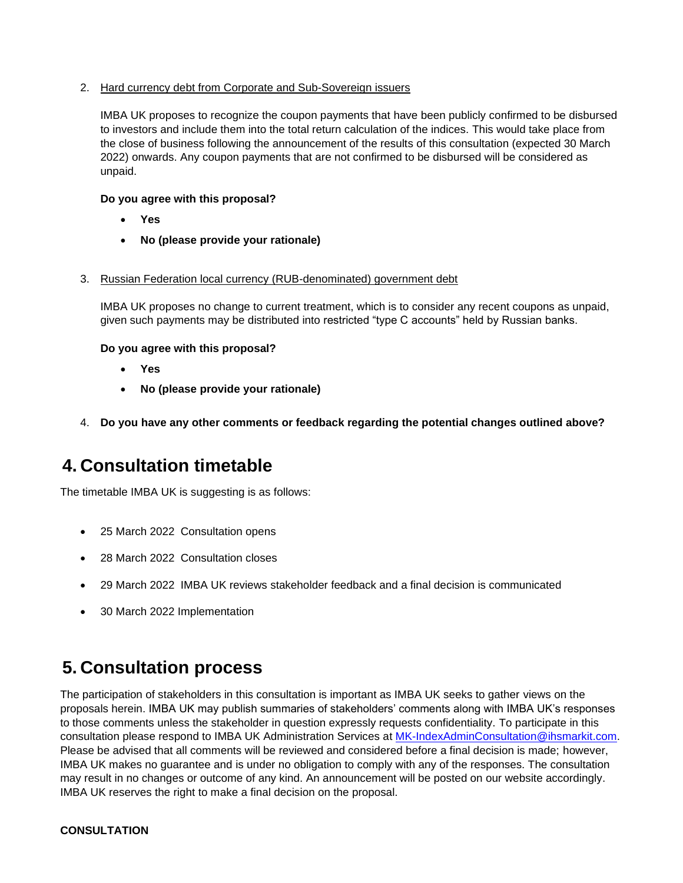#### 2. Hard currency debt from Corporate and Sub-Sovereign issuers

IMBA UK proposes to recognize the coupon payments that have been publicly confirmed to be disbursed to investors and include them into the total return calculation of the indices. This would take place from the close of business following the announcement of the results of this consultation (expected 30 March 2022) onwards. Any coupon payments that are not confirmed to be disbursed will be considered as unpaid.

#### **Do you agree with this proposal?**

- **Yes**
- **No (please provide your rationale)**
- 3. Russian Federation local currency (RUB-denominated) government debt

IMBA UK proposes no change to current treatment, which is to consider any recent coupons as unpaid, given such payments may be distributed into restricted "type C accounts" held by Russian banks.

#### **Do you agree with this proposal?**

- **Yes**
- **No (please provide your rationale)**
- 4. **Do you have any other comments or feedback regarding the potential changes outlined above?**

### **4. Consultation timetable**

The timetable IMBA UK is suggesting is as follows:

- 25 March 2022 Consultation opens
- 28 March 2022 Consultation closes
- 29 March 2022 IMBA UK reviews stakeholder feedback and a final decision is communicated
- 30 March 2022 Implementation

### **5. Consultation process**

The participation of stakeholders in this consultation is important as IMBA UK seeks to gather views on the proposals herein. IMBA UK may publish summaries of stakeholders' comments along with IMBA UK's responses to those comments unless the stakeholder in question expressly requests confidentiality. To participate in this consultation please respond to IMBA UK Administration Services at [MK-IndexAdminConsultation@ihsmarkit.com.](mailto:MK-IndexAdminConsultation@ihsmarkit.com) Please be advised that all comments will be reviewed and considered before a final decision is made; however, IMBA UK makes no guarantee and is under no obligation to comply with any of the responses. The consultation may result in no changes or outcome of any kind. An announcement will be posted on our website accordingly. IMBA UK reserves the right to make a final decision on the proposal.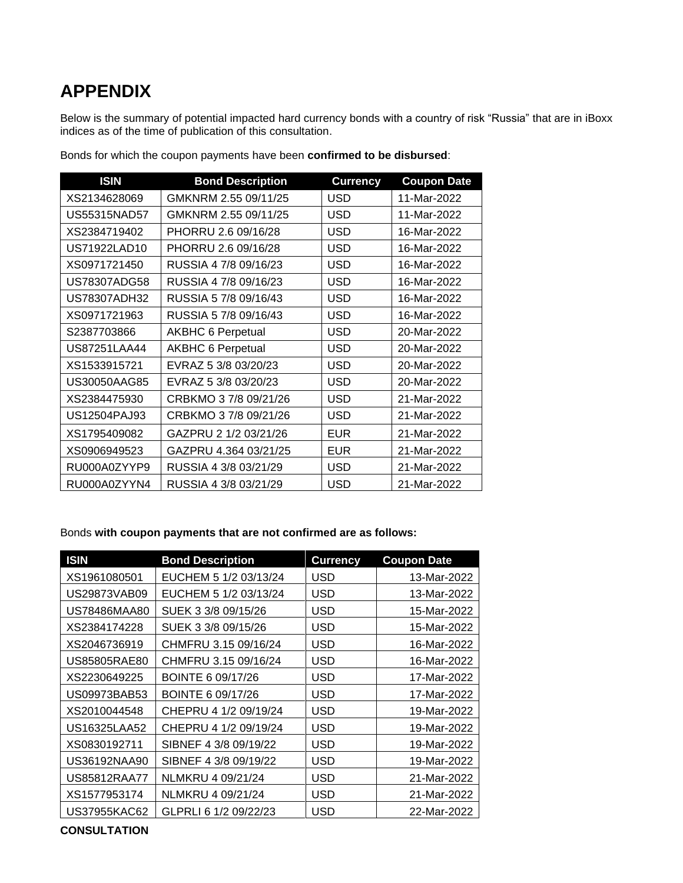# **APPENDIX**

Below is the summary of potential impacted hard currency bonds with a country of risk "Russia" that are in iBoxx indices as of the time of publication of this consultation.

| <b>ISIN</b>  | <b>Bond Description</b>  | <b>Currency</b> | <b>Coupon Date</b> |
|--------------|--------------------------|-----------------|--------------------|
| XS2134628069 | GMKNRM 2.55 09/11/25     | <b>USD</b>      | 11-Mar-2022        |
| US55315NAD57 | GMKNRM 2.55 09/11/25     | <b>USD</b>      | 11-Mar-2022        |
| XS2384719402 | PHORRU 2.6 09/16/28      | <b>USD</b>      | 16-Mar-2022        |
| US71922LAD10 | PHORRU 2.6 09/16/28      | <b>USD</b>      | 16-Mar-2022        |
| XS0971721450 | RUSSIA 4 7/8 09/16/23    | USD             | 16-Mar-2022        |
| US78307ADG58 | RUSSIA 4 7/8 09/16/23    | <b>USD</b>      | 16-Mar-2022        |
| US78307ADH32 | RUSSIA 5 7/8 09/16/43    | <b>USD</b>      | 16-Mar-2022        |
| XS0971721963 | RUSSIA 5 7/8 09/16/43    | <b>USD</b>      | 16-Mar-2022        |
| S2387703866  | <b>AKBHC 6 Perpetual</b> | <b>USD</b>      | 20-Mar-2022        |
| US87251LAA44 | <b>AKBHC 6 Perpetual</b> | <b>USD</b>      | 20-Mar-2022        |
| XS1533915721 | EVRAZ 5 3/8 03/20/23     | <b>USD</b>      | 20-Mar-2022        |
| US30050AAG85 | EVRAZ 5 3/8 03/20/23     | <b>USD</b>      | 20-Mar-2022        |
| XS2384475930 | CRBKMO 3 7/8 09/21/26    | <b>USD</b>      | 21-Mar-2022        |
| US12504PAJ93 | CRBKMO 3 7/8 09/21/26    | USD             | 21-Mar-2022        |
| XS1795409082 | GAZPRU 2 1/2 03/21/26    | <b>EUR</b>      | 21-Mar-2022        |
| XS0906949523 | GAZPRU 4.364 03/21/25    | <b>EUR</b>      | 21-Mar-2022        |
| RU000A0ZYYP9 | RUSSIA 4 3/8 03/21/29    | <b>USD</b>      | 21-Mar-2022        |
| RU000A0ZYYN4 | RUSSIA 4 3/8 03/21/29    | <b>USD</b>      | 21-Mar-2022        |

Bonds for which the coupon payments have been **confirmed to be disbursed**:

#### Bonds **with coupon payments that are not confirmed are as follows:**

| <b>ISIN</b>  | <b>Bond Description</b> | <b>Currency</b> | <b>Coupon Date</b> |
|--------------|-------------------------|-----------------|--------------------|
| XS1961080501 | EUCHEM 5 1/2 03/13/24   | USD             | 13-Mar-2022        |
| US29873VAB09 | EUCHEM 5 1/2 03/13/24   | USD             | 13-Mar-2022        |
| US78486MAA80 | SUEK 3 3/8 09/15/26     | <b>USD</b>      | 15-Mar-2022        |
| XS2384174228 | SUEK 3 3/8 09/15/26     | USD             | 15-Mar-2022        |
| XS2046736919 | CHMFRU 3.15 09/16/24    | USD             | 16-Mar-2022        |
| US85805RAE80 | CHMFRU 3.15 09/16/24    | <b>USD</b>      | 16-Mar-2022        |
| XS2230649225 | BOINTE 6 09/17/26       | <b>USD</b>      | 17-Mar-2022        |
| US09973BAB53 | BOINTE 6 09/17/26       | <b>USD</b>      | 17-Mar-2022        |
| XS2010044548 | CHEPRU 4 1/2 09/19/24   | <b>USD</b>      | 19-Mar-2022        |
| US16325LAA52 | CHEPRU 4 1/2 09/19/24   | <b>USD</b>      | 19-Mar-2022        |
| XS0830192711 | SIBNEF 4 3/8 09/19/22   | <b>USD</b>      | 19-Mar-2022        |
| US36192NAA90 | SIBNEF 4 3/8 09/19/22   | <b>USD</b>      | 19-Mar-2022        |
| US85812RAA77 | NLMKRU 4 09/21/24       | <b>USD</b>      | 21-Mar-2022        |
| XS1577953174 | NLMKRU 4 09/21/24       | <b>USD</b>      | 21-Mar-2022        |
| US37955KAC62 | GLPRLI 6 1/2 09/22/23   | <b>USD</b>      | 22-Mar-2022        |

**CONSULTATION**